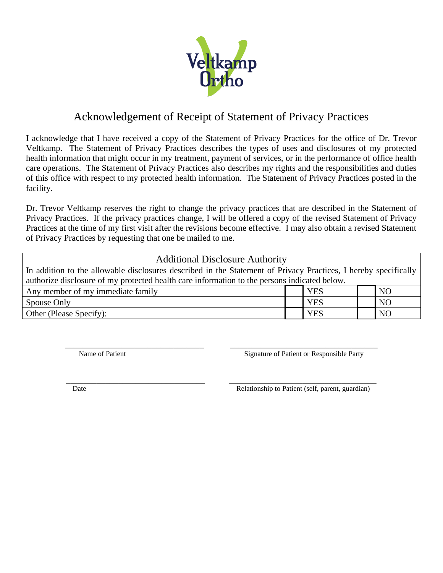

## Acknowledgement of Receipt of Statement of Privacy Practices

I acknowledge that I have received a copy of the Statement of Privacy Practices for the office of Dr. Trevor Veltkamp. The Statement of Privacy Practices describes the types of uses and disclosures of my protected health information that might occur in my treatment, payment of services, or in the performance of office health care operations. The Statement of Privacy Practices also describes my rights and the responsibilities and duties of this office with respect to my protected health information. The Statement of Privacy Practices posted in the facility.

Dr. Trevor Veltkamp reserves the right to change the privacy practices that are described in the Statement of Privacy Practices. If the privacy practices change, I will be offered a copy of the revised Statement of Privacy Practices at the time of my first visit after the revisions become effective. I may also obtain a revised Statement of Privacy Practices by requesting that one be mailed to me.

| <b>Additional Disclosure Authority</b>                                                                          |  |            |  |                |  |  |
|-----------------------------------------------------------------------------------------------------------------|--|------------|--|----------------|--|--|
| In addition to the allowable disclosures described in the Statement of Privacy Practices, I hereby specifically |  |            |  |                |  |  |
| authorize disclosure of my protected health care information to the persons indicated below.                    |  |            |  |                |  |  |
| Any member of my immediate family                                                                               |  | <b>YES</b> |  | N <sub>O</sub> |  |  |
| Spouse Only                                                                                                     |  | <b>YES</b> |  | N <sub>O</sub> |  |  |
| Other (Please Specify):                                                                                         |  | <b>YES</b> |  | N <sub>O</sub> |  |  |

\_\_\_\_\_\_\_\_\_\_\_\_\_\_\_\_\_\_\_\_\_\_\_\_\_\_\_\_\_\_\_\_ \_\_\_\_\_\_\_\_\_\_\_\_\_\_\_\_\_\_\_\_\_\_\_\_\_\_\_\_\_\_\_\_\_\_

Name of Patient  $\Box$  Signature of Patient or Responsible Party

\_\_\_\_\_\_\_\_\_\_\_\_\_\_\_\_\_\_\_\_\_\_\_\_\_\_\_\_\_\_\_\_ \_\_\_\_\_\_\_\_\_\_\_\_\_\_\_\_\_\_\_\_\_\_\_\_\_\_\_\_\_\_\_\_\_\_

Date Relationship to Patient (self, parent, guardian)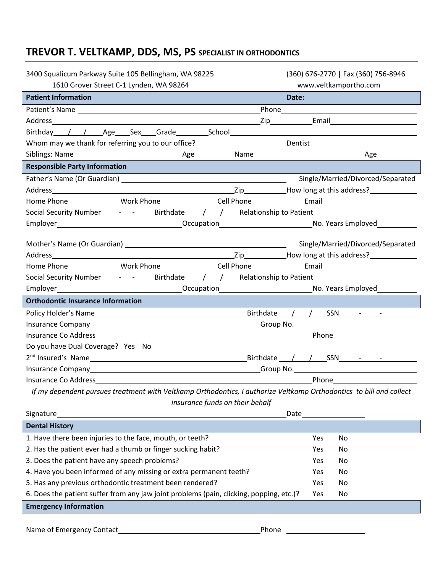## **TREVOR T. VELTKAMP, DDS, MS, PS SPECIALIST IN ORTHODONTICS**

| 3400 Squalicum Parkway Suite 105 Bellingham, WA 98225                                                                                                                                                                               | (360) 676-2770   Fax (360) 756-8946                                                                                                                                                                                                  |
|-------------------------------------------------------------------------------------------------------------------------------------------------------------------------------------------------------------------------------------|--------------------------------------------------------------------------------------------------------------------------------------------------------------------------------------------------------------------------------------|
| 1610 Grover Street C-1 Lynden, WA 98264                                                                                                                                                                                             | www.veltkamportho.com                                                                                                                                                                                                                |
| <b>Patient Information</b>                                                                                                                                                                                                          | Date:                                                                                                                                                                                                                                |
|                                                                                                                                                                                                                                     |                                                                                                                                                                                                                                      |
|                                                                                                                                                                                                                                     |                                                                                                                                                                                                                                      |
| Birthday / / Age Sex Grade School School School Age School Age School School School Age School School School School School School School School School School School School School School School School School School School S      |                                                                                                                                                                                                                                      |
| Whom may we thank for referring you to our office? ____________________________Dentist________________________                                                                                                                      |                                                                                                                                                                                                                                      |
|                                                                                                                                                                                                                                     |                                                                                                                                                                                                                                      |
| <b>Responsible Party Information</b>                                                                                                                                                                                                |                                                                                                                                                                                                                                      |
|                                                                                                                                                                                                                                     | Single/Married/Divorced/Separated                                                                                                                                                                                                    |
|                                                                                                                                                                                                                                     |                                                                                                                                                                                                                                      |
|                                                                                                                                                                                                                                     |                                                                                                                                                                                                                                      |
| Social Security Number________________________Birthdate _____/____/_____________Relationship to Patient________________________________                                                                                             |                                                                                                                                                                                                                                      |
|                                                                                                                                                                                                                                     |                                                                                                                                                                                                                                      |
|                                                                                                                                                                                                                                     | Single/Married/Divorced/Separated                                                                                                                                                                                                    |
|                                                                                                                                                                                                                                     |                                                                                                                                                                                                                                      |
|                                                                                                                                                                                                                                     |                                                                                                                                                                                                                                      |
| Social Security Number________________________Birthdate _____/____/_____________Relationship to Patient________________________________                                                                                             |                                                                                                                                                                                                                                      |
|                                                                                                                                                                                                                                     |                                                                                                                                                                                                                                      |
| <b>Orthodontic Insurance Information</b>                                                                                                                                                                                            |                                                                                                                                                                                                                                      |
|                                                                                                                                                                                                                                     |                                                                                                                                                                                                                                      |
|                                                                                                                                                                                                                                     |                                                                                                                                                                                                                                      |
|                                                                                                                                                                                                                                     | <u>Phone and the contract of the Phone Phone and the contract of the contract of the contract of the contract of the contract of the contract of the contract of the contract of the contract of the contract of the contract of</u> |
| Do you have Dual Coverage? Yes No                                                                                                                                                                                                   |                                                                                                                                                                                                                                      |
|                                                                                                                                                                                                                                     |                                                                                                                                                                                                                                      |
|                                                                                                                                                                                                                                     |                                                                                                                                                                                                                                      |
| Insurance Co Address <b>Exercises</b> and the set of the set of the set of the set of the set of the set of the set of the set of the set of the set of the set of the set of the set of the set of the set of the set of the set o | <u>Phone and the contract of the set of the set of the set of the set of the set of the set of the set of the se</u>                                                                                                                 |
| If my dependent pursues treatment with Veltkamp Orthodontics, I authorize Veltkamp Orthodontics to bill and collect                                                                                                                 |                                                                                                                                                                                                                                      |

*insurance funds on their behalf*

| Signature                                                                               | Date |     |  |
|-----------------------------------------------------------------------------------------|------|-----|--|
| <b>Dental History</b>                                                                   |      |     |  |
| 1. Have there been injuries to the face, mouth, or teeth?                               | Yes  | No. |  |
| 2. Has the patient ever had a thumb or finger sucking habit?                            | Yes  | No. |  |
| 3. Does the patient have any speech problems?                                           | Yes. | No. |  |
| 4. Have you been informed of any missing or extra permanent teeth?                      | Yes  | No. |  |
| 5. Has any previous orthodontic treatment been rendered?                                | Yes  | No. |  |
| 6. Does the patient suffer from any jaw joint problems (pain, clicking, popping, etc.)? | Yes  | No. |  |
| <b>Emergency Information</b>                                                            |      |     |  |
|                                                                                         |      |     |  |

Name of Emergency Contact Phone